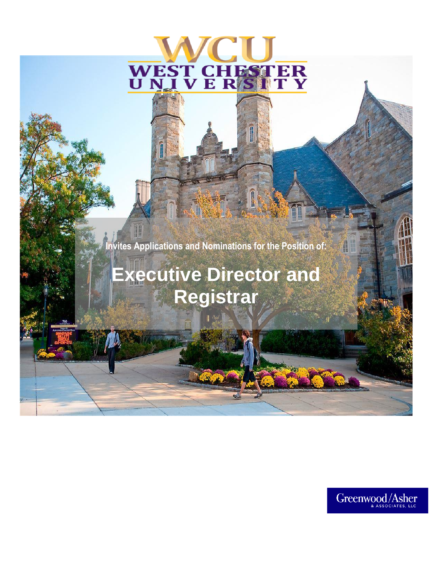# HESTER WEST CI<br>U N I V E

**Invites Applications and Nominations for the Position of:**

H

# **Executive Director and Registrar**



H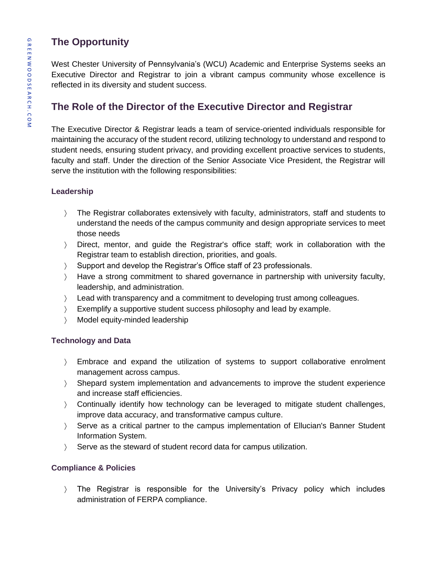# **The Opportunity**

West Chester University of Pennsylvania's (WCU) Academic and Enterprise Systems seeks an Executive Director and Registrar to join a vibrant campus community whose excellence is reflected in its diversity and student success.

# **The Role of the Director of the Executive Director and Registrar**

The Executive Director & Registrar leads a team of service-oriented individuals responsible for maintaining the accuracy of the student record, utilizing technology to understand and respond to student needs, ensuring student privacy, and providing excellent proactive services to students, faculty and staff. Under the direction of the Senior Associate Vice President, the Registrar will serve the institution with the following responsibilities:

#### **Leadership**

- The Registrar collaborates extensively with faculty, administrators, staff and students to understand the needs of the campus community and design appropriate services to meet those needs
- Direct, mentor, and guide the Registrar's office staff; work in collaboration with the Registrar team to establish direction, priorities, and goals.
- Support and develop the Registrar's Office staff of 23 professionals.
- Have a strong commitment to shared governance in partnership with university faculty, leadership, and administration.
- ) Lead with transparency and a commitment to developing trust among colleagues.
- Exemplify a supportive student success philosophy and lead by example.
- Model equity-minded leadership

#### **Technology and Data**

- Embrace and expand the utilization of systems to support collaborative enrolment management across campus.
- Shepard system implementation and advancements to improve the student experience and increase staff efficiencies.
- Continually identify how technology can be leveraged to mitigate student challenges, improve data accuracy, and transformative campus culture.
- Serve as a critical partner to the campus implementation of Ellucian's Banner Student Information System.
- Serve as the steward of student record data for campus utilization.

#### **Compliance & Policies**

 The Registrar is responsible for the University's Privacy policy which includes administration of FERPA compliance.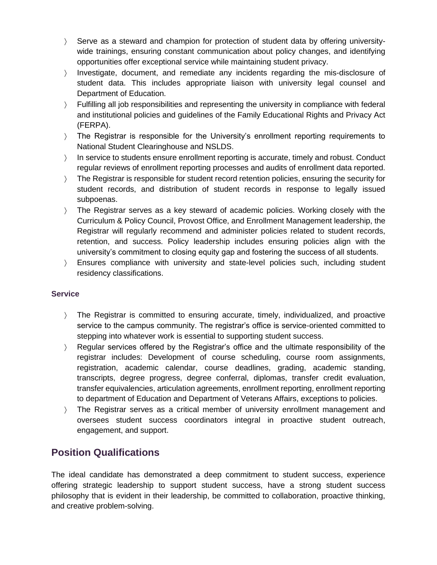- Serve as a steward and champion for protection of student data by offering universitywide trainings, ensuring constant communication about policy changes, and identifying opportunities offer exceptional service while maintaining student privacy.
- Investigate, document, and remediate any incidents regarding the mis-disclosure of student data. This includes appropriate liaison with university legal counsel and Department of Education.
- Fulfilling all job responsibilities and representing the university in compliance with federal and institutional policies and guidelines of the Family Educational Rights and Privacy Act (FERPA).
- The Registrar is responsible for the University's enrollment reporting requirements to National Student Clearinghouse and NSLDS.
- In service to students ensure enrollment reporting is accurate, timely and robust. Conduct regular reviews of enrollment reporting processes and audits of enrollment data reported.
- The Registrar is responsible for student record retention policies, ensuring the security for student records, and distribution of student records in response to legally issued subpoenas.
- The Registrar serves as a key steward of academic policies. Working closely with the Curriculum & Policy Council, Provost Office, and Enrollment Management leadership, the Registrar will regularly recommend and administer policies related to student records, retention, and success. Policy leadership includes ensuring policies align with the university's commitment to closing equity gap and fostering the success of all students.
- Ensures compliance with university and state-level policies such, including student residency classifications.

#### **Service**

- The Registrar is committed to ensuring accurate, timely, individualized, and proactive service to the campus community. The registrar's office is service-oriented committed to stepping into whatever work is essential to supporting student success.
- Regular services offered by the Registrar's office and the ultimate responsibility of the registrar includes: Development of course scheduling, course room assignments, registration, academic calendar, course deadlines, grading, academic standing, transcripts, degree progress, degree conferral, diplomas, transfer credit evaluation, transfer equivalencies, articulation agreements, enrollment reporting, enrollment reporting to department of Education and Department of Veterans Affairs, exceptions to policies.
- The Registrar serves as a critical member of university enrollment management and oversees student success coordinators integral in proactive student outreach, engagement, and support.

## **Position Qualifications**

The ideal candidate has demonstrated a deep commitment to student success, experience offering strategic leadership to support student success, have a strong student success philosophy that is evident in their leadership, be committed to collaboration, proactive thinking, and creative problem-solving.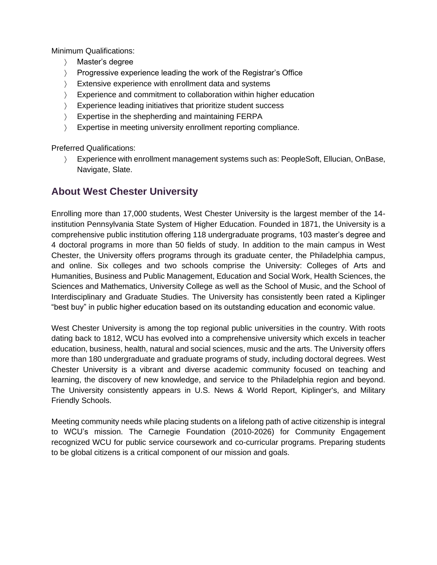Minimum Qualifications:

- Master's degree
- Progressive experience leading the work of the Registrar's Office
- Extensive experience with enrollment data and systems
- Experience and commitment to collaboration within higher education
- > Experience leading initiatives that prioritize student success
- Expertise in the shepherding and maintaining FERPA
- > Expertise in meeting university enrollment reporting compliance.

Preferred Qualifications:

 Experience with enrollment management systems such as: PeopleSoft, Ellucian, OnBase, Navigate, Slate.

## **About West Chester University**

Enrolling more than 17,000 students, West Chester University is the largest member of the 14 institution Pennsylvania State System of Higher Education. Founded in 1871, the University is a comprehensive public institution offering 118 undergraduate programs, 103 master's degree and 4 doctoral programs in more than 50 fields of study. In addition to the main campus in West Chester, the University offers programs through its graduate center, the Philadelphia campus, and online. Six colleges and two schools comprise the University: Colleges of Arts and Humanities, Business and Public Management, Education and Social Work, Health Sciences, the Sciences and Mathematics, University College as well as the School of Music, and the School of Interdisciplinary and Graduate Studies. The University has consistently been rated a Kiplinger "best buy" in public higher education based on its outstanding education and economic value.

West Chester University is among the top regional public universities in the country. With roots dating back to 1812, WCU has evolved into a comprehensive university which excels in teacher education, business, health, natural and social sciences, music and the arts. The University offers more than 180 undergraduate and graduate programs of study, including doctoral degrees. West Chester University is a vibrant and diverse academic community focused on teaching and learning, the discovery of new knowledge, and service to the Philadelphia region and beyond. The University consistently appears in U.S. News & World Report, Kiplinger's, and Military Friendly Schools.

Meeting community needs while placing students on a lifelong path of active citizenship is integral to WCU's mission. The Carnegie Foundation (2010-2026) for Community Engagement recognized WCU for public service coursework and co-curricular programs. Preparing students to be global citizens is a critical component of our mission and goals.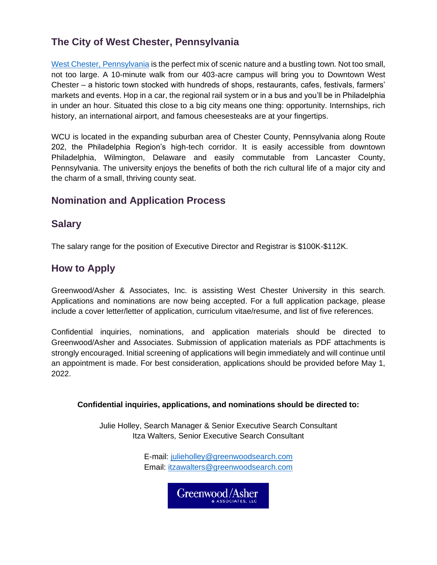# **The City of West Chester, Pennsylvania**

[West Chester, Pennsylvania](https://www.wcupa.edu/visitors/ourLocation.aspx) is the perfect mix of scenic nature and a bustling town. Not too small, not too large. A 10-minute walk from our 403-acre campus will bring you to Downtown West Chester – a historic town stocked with hundreds of shops, restaurants, cafes, festivals, farmers' markets and events. Hop in a car, the regional rail system or in a bus and you'll be in Philadelphia in under an hour. Situated this close to a big city means one thing: opportunity. Internships, rich history, an international airport, and famous cheesesteaks are at your fingertips.

WCU is located in the expanding suburban area of Chester County, Pennsylvania along Route 202, the Philadelphia Region's high-tech corridor. It is easily accessible from downtown Philadelphia, Wilmington, Delaware and easily commutable from Lancaster County, Pennsylvania. The university enjoys the benefits of both the rich cultural life of a major city and the charm of a small, thriving county seat.

## **Nomination and Application Process**

#### **Salary**

The salary range for the position of Executive Director and Registrar is \$100K-\$112K.

## **How to Apply**

Greenwood/Asher & Associates, Inc. is assisting West Chester University in this search. Applications and nominations are now being accepted. For a full application package, please include a cover letter/letter of application, curriculum vitae/resume, and list of five references.

Confidential inquiries, nominations, and application materials should be directed to Greenwood/Asher and Associates. Submission of application materials as PDF attachments is strongly encouraged. Initial screening of applications will begin immediately and will continue until an appointment is made. For best consideration, applications should be provided before May 1, 2022.

#### **Confidential inquiries, applications, and nominations should be directed to:**

Julie Holley, Search Manager & Senior Executive Search Consultant Itza Walters, Senior Executive Search Consultant

> E-mail: [julieholley@greenwoodsearch.com](mailto:julieholley@greenwoodsearch.com) Email: [itzawalters@greenwoodsearch.com](mailto:itzawalters@greenwoodsearch.com)